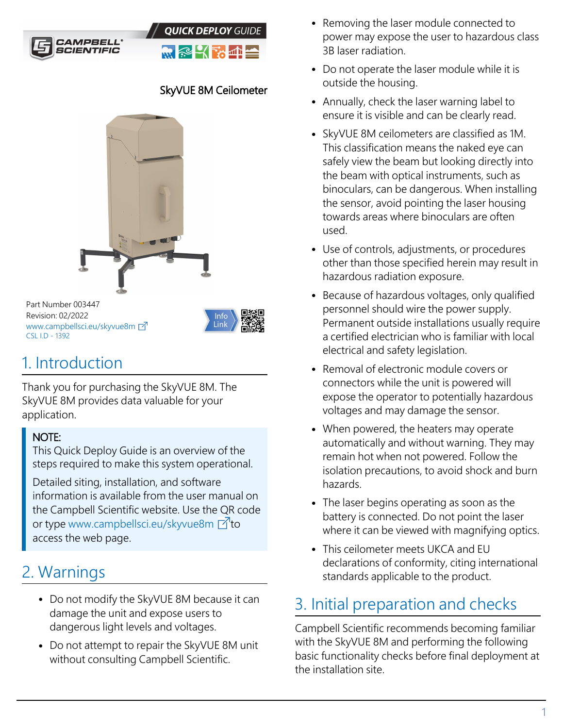



### SkyVUE 8M Ceilometer



Part Number 003447 Revision: 02/2022 [www.campbellsci.](https://www.campbellsci.com/skyvue8m)eu/skyvue8m CSL I.D - 1392



## 1. Introduction

Thank you for purchasing the SkyVUE 8M. The SkyVUE 8M provides data valuable for your application.

#### NOTE:

This Quick Deploy Guide is an overview of the steps required to make this system operational.

Detailed siting, installation, and software information is available from the user manual on the Campbell Scientific website. Use the QR code or type [www.campbellsci.](http://www.campbellsci.com/skyvue8m)eu/skyvue8m  $\Box$  to access the web page.

# 2. Warnings

- Do not modify the SkyVUE 8M because it can damage the unit and expose users to dangerous light levels and voltages.
- Do not attempt to repair the SkyVUE 8M unit without consulting Campbell Scientific.
- Removing the laser module connected to power may expose the user to hazardous class 3B laser radiation.
- Do not operate the laser module while it is outside the housing.
- Annually, check the laser warning label to ensure it is visible and can be clearly read.
- SkyVUE 8M ceilometers are classified as 1M. This classification means the naked eye can safely view the beam but looking directly into the beam with optical instruments, such as binoculars, can be dangerous. When installing the sensor, avoid pointing the laser housing towards areas where binoculars are often used.
- Use of controls, adjustments, or procedures other than those specified herein may result in hazardous radiation exposure.
- Because of hazardous voltages, only qualified personnel should wire the power supply. Permanent outside installations usually require a certified electrician who is familiar with local electrical and safety legislation.
- Removal of electronic module covers or connectors while the unit is powered will expose the operator to potentially hazardous voltages and may damage the sensor.
- When powered, the heaters may operate automatically and without warning. They may remain hot when not powered. Follow the isolation precautions, to avoid shock and burn hazards.
- The laser begins operating as soon as the battery is connected. Do not point the laser where it can be viewed with magnifying optics.
- This ceilometer meets UKCA and EU declarations of conformity, citing international standards applicable to the product.

## 3. Initial preparation and checks

Campbell Scientific recommends becoming familiar with the SkyVUE 8M and performing the following basic functionality checks before final deployment at the installation site.